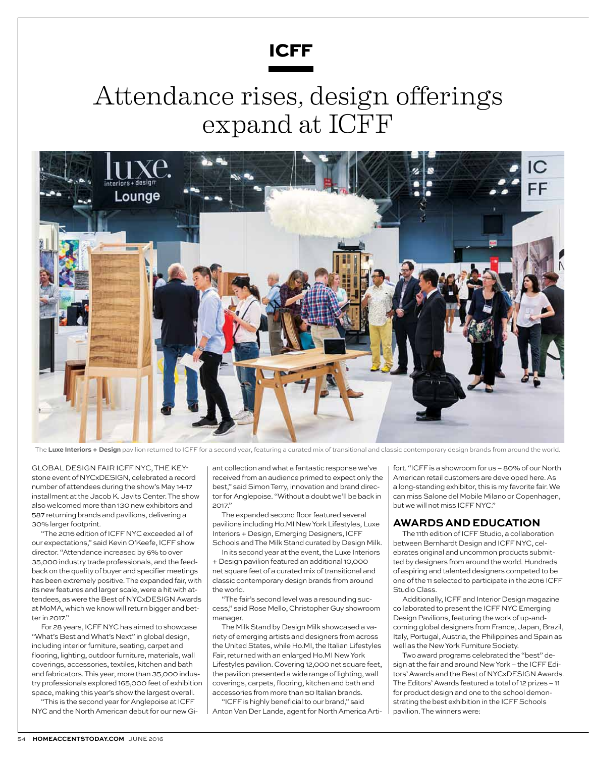

## Attendance rises, design offerings expand at ICFF



The Luxe Interiors + Design pavilion returned to ICFF for a second year, featuring a curated mix of transitional and classic contemporary design brands from around the world.

Global design fair ICFF NYC, the keystone event of NYCxDESIGN, celebrated a record number of attendees during the show's May 14-17 installment at the Jacob K. Javits Center. The show also welcomed more than 130 new exhibitors and 587 returning brands and pavilions, delivering a 30% larger footprint.

"The 2016 edition of ICFF NYC exceeded all of our expectations," said Kevin O'Keefe, ICFF show director. "Attendance increased by 6% to over 35,000 industry trade professionals, and the feedback on the quality of buyer and specifier meetings has been extremely positive. The expanded fair, with its new features and larger scale, were a hit with attendees, as were the Best of NYCxDESIGN Awards at MoMA, which we know will return bigger and better in 2017."

For 28 years, ICFF NYC has aimed to showcase "What's Best and What's Next" in global design, including interior furniture, seating, carpet and flooring, lighting, outdoor furniture, materials, wall coverings, accessories, textiles, kitchen and bath and fabricators. This year, more than 35,000 industry professionals explored 165,000 feet of exhibition space, making this year's show the largest overall.

"This is the second year for Anglepoise at ICFF NYC and the North American debut for our new Giant collection and what a fantastic response we've received from an audience primed to expect only the best," said Simon Terry, innovation and brand director for Anglepoise. "Without a doubt we'll be back in 2017."

The expanded second floor featured several pavilions including Ho.MI New York Lifestyles, Luxe Interiors + Design, Emerging Designers, ICFF Schools and The Milk Stand curated by Design Milk.

In its second year at the event, the Luxe Interiors + Design pavilion featured an additional 10,000 net square feet of a curated mix of transitional and classic contemporary design brands from around the world.

"The fair's second level was a resounding success," said Rose Mello, Christopher Guy showroom manager.

The Milk Stand by Design Milk showcased a variety of emerging artists and designers from across the United States, while Ho.MI, the Italian Lifestyles Fair, returned with an enlarged Ho.MI New York Lifestyles pavilion. Covering 12,000 net square feet, the pavilion presented a wide range of lighting, wall coverings, carpets, flooring, kitchen and bath and accessories from more than 50 Italian brands.

"ICFF is highly beneficial to our brand," said Anton Van Der Lande, agent for North America Artifort. "ICFF is a showroom for us – 80% of our North American retail customers are developed here. As a long-standing exhibitor, this is my favorite fair. We can miss Salone del Mobile Milano or Copenhagen, but we will not miss ICFF NYC."

## **Awardsand education**

The 11th edition of ICFFStudio, a collaboration between Bernhardt Design and ICFF NYC, celebrates original and uncommon products submitted by designers from around the world. Hundreds of aspiring and talented designers competed to be one of the 11 selected to participate in the 2016 ICFF Studio Class.

Additionally, ICFF and Interior Design magazine collaborated to present the ICFF NYC Emerging Design Pavilions, featuring the work of up-andcoming global designers from France, Japan, Brazil, Italy, Portugal, Austria, the Philippines and Spain as well as the New York Furniture Society.

Two award programs celebrated the "best" design at the fair and around New York – the ICFF Editors' Awards and the Best of NYCxDESIGN Awards. The Editors' Awards featured a total of 12 prizes – 11 for product design and one to the school demonstrating the best exhibition in the ICFF Schools pavilion. The winners were: